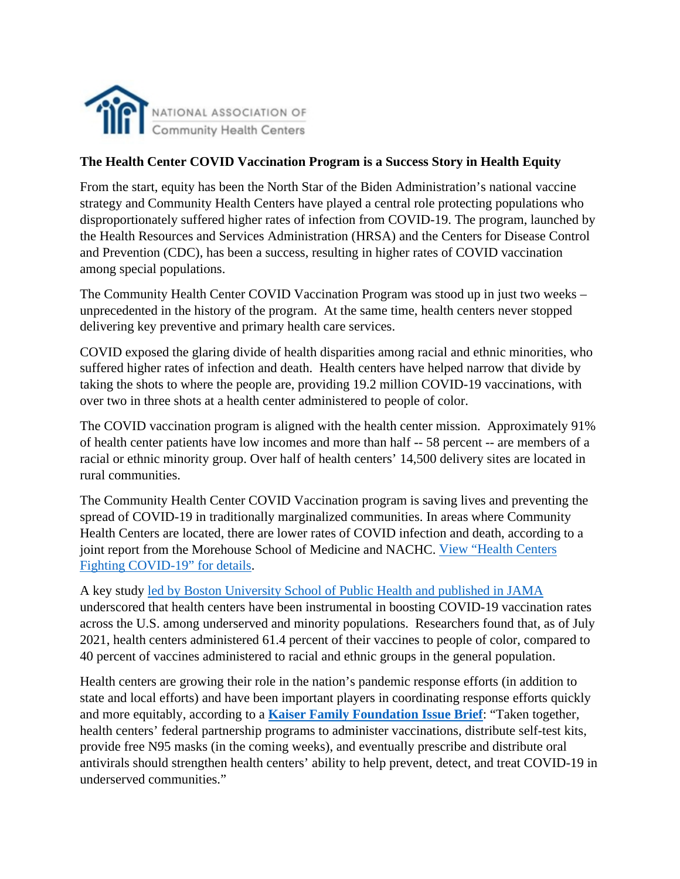

## **The Health Center COVID Vaccination Program is a Success Story in Health Equity**

From the start, equity has been the North Star of the Biden Administration's national vaccine strategy and Community Health Centers have played a central role protecting populations who disproportionately suffered higher rates of infection from COVID-19. The program, launched by the Health Resources and Services Administration (HRSA) and the Centers for Disease Control and Prevention (CDC), has been a success, resulting in higher rates of COVID vaccination among special populations.

The Community Health Center COVID Vaccination Program was stood up in just two weeks – unprecedented in the history of the program. At the same time, health centers never stopped delivering key preventive and primary health care services.

COVID exposed the glaring divide of health disparities among racial and ethnic minorities, who suffered higher rates of infection and death. Health centers have helped narrow that divide by taking the shots to where the people are, providing 19.2 million COVID-19 vaccinations, with over two in three shots at a health center administered to people of color.

The COVID vaccination program is aligned with the health center mission. Approximately 91% of health center patients have low incomes and more than half -- 58 percent -- are members of a racial or ethnic minority group. Over half of health centers' 14,500 delivery sites are located in rural communities.

The Community Health Center COVID Vaccination program is saving lives and preventing the spread of COVID-19 in traditionally marginalized communities. In areas where Community Health Centers are located, there are lower rates of COVID infection and death, according to a joint report from the Morehouse School of Medicine and NACHC. [View "Health Centers](https://www.nachc.org/coronavirus/health-centers-fighting-covid-19/)  [Fighting COVID-19" for details.](https://www.nachc.org/coronavirus/health-centers-fighting-covid-19/)

A key study [led by Boston University School of Public Health and published in JAMA](https://www.eurekalert.org/news-releases/939547) underscored that health centers have been instrumental in boosting COVID-19 vaccination rates across the U.S. among underserved and minority populations. Researchers found that, as of July 2021, health centers administered 61.4 percent of their vaccines to people of color, compared to 40 percent of vaccines administered to racial and ethnic groups in the general population.

Health centers are growing their role in the nation's pandemic response efforts (in addition to state and local efforts) and have been important players in coordinating response efforts quickly and more equitably, according to a **Kaiser [Family Foundation Issue Brief](https://www.kff.org/policy-watch/community-health-centers-are-a-key-source-of-covid-19-rapid-at-home-self-tests-for-hard-to-reach-groups/)**: "Taken together, health centers' federal partnership programs to administer vaccinations, distribute self-test kits, provide free N95 masks (in the coming weeks), and eventually prescribe and distribute oral antivirals should strengthen health centers' ability to help prevent, detect, and treat COVID-19 in underserved communities."